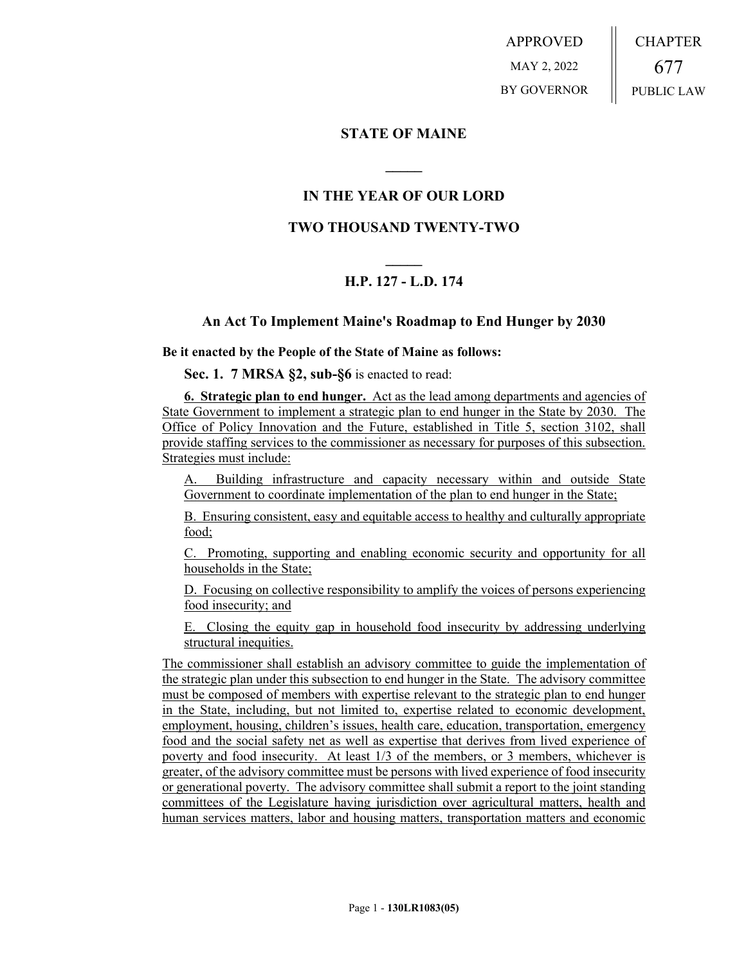APPROVED MAY 2, 2022 BY GOVERNOR CHAPTER 677 PUBLIC LAW

## **STATE OF MAINE**

# **IN THE YEAR OF OUR LORD**

**\_\_\_\_\_**

## **TWO THOUSAND TWENTY-TWO**

# **\_\_\_\_\_ H.P. 127 - L.D. 174**

### **An Act To Implement Maine's Roadmap to End Hunger by 2030**

**Be it enacted by the People of the State of Maine as follows:**

**Sec. 1. 7 MRSA §2, sub-§6** is enacted to read:

**6. Strategic plan to end hunger.** Act as the lead among departments and agencies of State Government to implement a strategic plan to end hunger in the State by 2030. The Office of Policy Innovation and the Future, established in Title 5, section 3102, shall provide staffing services to the commissioner as necessary for purposes of this subsection. Strategies must include:

A. Building infrastructure and capacity necessary within and outside State Government to coordinate implementation of the plan to end hunger in the State;

B. Ensuring consistent, easy and equitable access to healthy and culturally appropriate food;

C. Promoting, supporting and enabling economic security and opportunity for all households in the State;

D. Focusing on collective responsibility to amplify the voices of persons experiencing food insecurity; and

E. Closing the equity gap in household food insecurity by addressing underlying structural inequities.

The commissioner shall establish an advisory committee to guide the implementation of the strategic plan under this subsection to end hunger in the State. The advisory committee must be composed of members with expertise relevant to the strategic plan to end hunger in the State, including, but not limited to, expertise related to economic development, employment, housing, children's issues, health care, education, transportation, emergency food and the social safety net as well as expertise that derives from lived experience of poverty and food insecurity. At least 1/3 of the members, or 3 members, whichever is greater, of the advisory committee must be persons with lived experience of food insecurity or generational poverty. The advisory committee shall submit a report to the joint standing committees of the Legislature having jurisdiction over agricultural matters, health and human services matters, labor and housing matters, transportation matters and economic